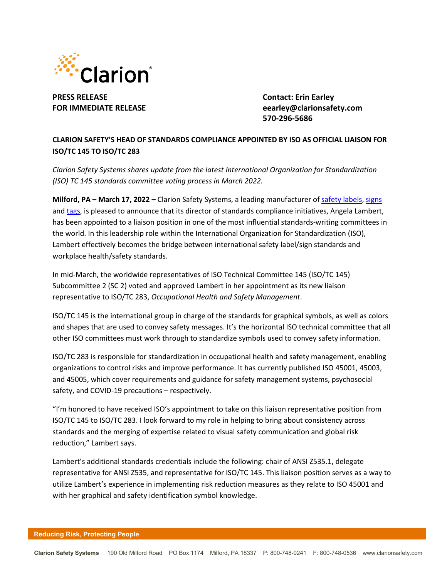

**PRESS RELEASE Contact: Erin Earley**

**FOR IMMEDIATE RELEASE eearley@clarionsafety.com 570-296-5686**

## **CLARION SAFETY'S HEAD OF STANDARDS COMPLIANCE APPOINTED BY ISO AS OFFICIAL LIAISON FOR ISO/TC 145 TO ISO/TC 283**

*Clarion Safety Systems shares update from the latest International Organization for Standardization (ISO) TC 145 standards committee voting process in March 2022.*

**Milford, PA – March 17, 2022 –** Clarion Safety Systems, a leading manufacturer of safety [labels,](https://www.clarionsafety.com/ANSI-ISO-Safety-Labels) [signs](https://www.clarionsafety.com/Facility-Safety) and [tags,](https://www.clarionsafety.com/safety-tags/) is pleased to announce that its director of standards compliance initiatives, Angela Lambert, has been appointed to a liaison position in one of the most influential standards-writing committees in the world. In this leadership role within the International Organization for Standardization (ISO), Lambert effectively becomes the bridge between international safety label/sign standards and workplace health/safety standards.

In mid-March, the worldwide representatives of ISO Technical Committee 145 (ISO/TC 145) Subcommittee 2 (SC 2) voted and approved Lambert in her appointment as its new liaison representative to ISO/TC 283, *Occupational Health and Safety Management*.

ISO/TC 145 is the international group in charge of the standards for graphical symbols, as well as colors and shapes that are used to convey safety messages. It's the horizontal ISO technical committee that all other ISO committees must work through to standardize symbols used to convey safety information.

ISO/TC 283 is responsible for standardization in occupational health and safety management, enabling organizations to control risks and improve performance. It has currently published ISO 45001, 45003, and 45005, which cover requirements and guidance for safety management systems, psychosocial safety, and COVID-19 precautions – respectively.

"I'm honored to have received ISO's appointment to take on this liaison representative position from ISO/TC 145 to ISO/TC 283. I look forward to my role in helping to bring about consistency across standards and the merging of expertise related to visual safety communication and global risk reduction," Lambert says.

Lambert's additional standards credentials include the following: chair of ANSI Z535.1, delegate representative for ANSI Z535, and representative for ISO/TC 145. This liaison position serves as a way to utilize Lambert's experience in implementing risk reduction measures as they relate to ISO 45001 and with her graphical and safety identification symbol knowledge.